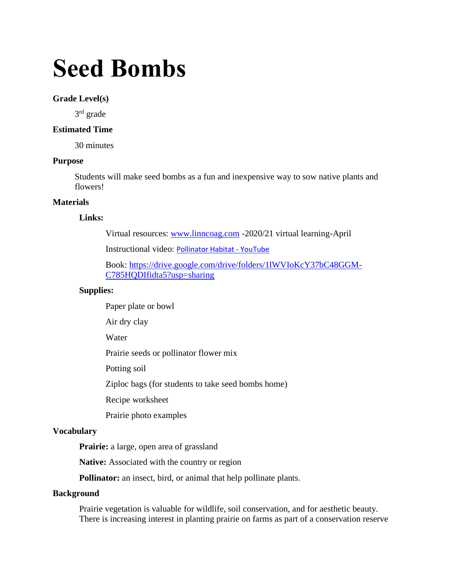# **Seed Bombs**

#### **Grade Level(s)**

3<sup>rd</sup> grade

# **Estimated Time**

30 minutes

#### **Purpose**

Students will make seed bombs as a fun and inexpensive way to sow native plants and flowers!

# **Materials**

## **Links:**

Virtual resources: [www.linncoag.com](http://www.linncoag.com/) -2020/21 virtual learning-April

Instructional video: [Pollinator Habitat -](https://www.youtube.com/watch?v=W4E809EB4TM) YouTube

Book: [https://drive.google.com/drive/folders/1lWVIoKcY37bC48GGM-](https://drive.google.com/drive/folders/1lWVIoKcY37bC48GGM-C785HQDIfidta5?usp=sharing)[C785HQDIfidta5?usp=sharing](https://drive.google.com/drive/folders/1lWVIoKcY37bC48GGM-C785HQDIfidta5?usp=sharing)

#### **Supplies:**

Paper plate or bowl

Air dry clay

Water

Prairie seeds or pollinator flower mix

Potting soil

Ziploc bags (for students to take seed bombs home)

Recipe worksheet

Prairie photo examples

#### **Vocabulary**

**Prairie:** a large, open area of grassland

**Native:** Associated with the country or region

**Pollinator:** an insect, bird, or animal that help pollinate plants.

#### **Background**

Prairie vegetation is valuable for wildlife, soil conservation, and for aesthetic beauty. There is increasing interest in planting prairie on farms as part of a conservation reserve